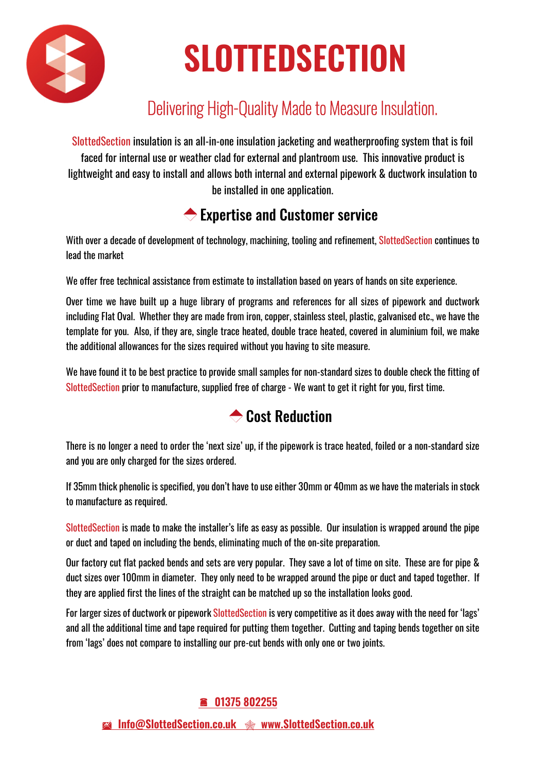

# **SLOTTEDSECTION**

## Delivering High-Quality Made to Measure Insulation.

SlottedSection insulation is an all-in-one insulation jacketing and weatherproofing system that is foil faced for internal use or weather clad for external and plantroom use. This innovative product is lightweight and easy to install and allows both internal and external pipework & ductwork insulation to be installed in one application.

### **← Expertise and Customer service**

With over a decade of development of technology, machining, tooling and refinement, SlottedSection continues to lead the market

We offer free technical assistance from estimate to installation based on years of hands on site experience.

Over time we have built up a huge library of programs and references for all sizes of pipework and ductwork including Flat Oval. Whether they are made from iron, copper, stainless steel, plastic, galvanised etc., we have the template for you. Also, if they are, single trace heated, double trace heated, covered in aluminium foil, we make the additional allowances for the sizes required without you having to site measure.

We have found it to be best practice to provide small samples for non-standard sizes to double check the fitting of SlottedSection prior to manufacture, supplied free of charge - We want to get it right for you, first time.

### **← Cost Reduction**

There is no longer a need to order the 'next size' up, if the pipework is trace heated, foiled or a non-standard size and you are only charged for the sizes ordered.

If 35mm thick phenolic is specified, you don't have to use either 30mm or 40mm as we have the materials in stock to manufacture as required.

SlottedSection is made to make the installer's life as easy as possible. Our insulation is wrapped around the pipe or duct and taped on including the bends, eliminating much of the on-site preparation.

Our factory cut flat packed bends and sets are very popular. They save a lot of time on site. These are for pipe & duct sizes over 100mm in diameter. They only need to be wrapped around the pipe or duct and taped together. If they are applied first the lines of the straight can be matched up so the installation looks good.

For larger sizes of ductwork or pipework SlottedSection is very competitive as it does away with the need for 'lags' and all the additional time and tape required for putting them together. Cutting and taping bends together on site from 'lags' does not compare to installing our pre-cut bends with only one or two joints.

#### **01375 802255**